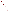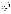## **THE ENVIRONMENTAL TECHNOLOGY VERIFICATION**







# **ETV Joint Verification Statement**

|                               | TECHNOLOGY TYPE: RAPID TOXICITY TESTING SYSTEM              |                                     |  |  |  |  |  |
|-------------------------------|-------------------------------------------------------------|-------------------------------------|--|--|--|--|--|
| <b>APPLICATION:</b>           | DETECTING TOXICITY IN DRINKING WATER                        |                                     |  |  |  |  |  |
| <b>TECHNOLOGY NAME: Eclox</b> |                                                             |                                     |  |  |  |  |  |
| <b>COMPANY:</b>               | <b>Severn Trent Services</b>                                |                                     |  |  |  |  |  |
| <b>ADDRESS:</b>               | <b>3000 Advance Lane</b><br>Colmar, Pennsylvania 18915 FAX: | PHONE: 215-997-4000<br>215-997-4062 |  |  |  |  |  |
| <b>WEB SITE:</b>              | http://www.severntrentservices.com/                         |                                     |  |  |  |  |  |

The U.S. Environmental Protection Agency (EPA) supports the Environmental Technology Verification (ETV) Program to facilitate the deployment of innovative or improved environmental technologies through performance verification and dissemination of information. The goal of the ETV Program is to further environmental protection by accelerating the acceptance and use of improved and cost-effective technologies. ETV seeks to achieve this goal by providing high-quality, peer-reviewed data on technology performance to those involved in the design, distribution, financing, permitting, purchase, and use of environmental technologies.

ETV works in partnership with recognized standards and testing organizations, with stakeholder groups (consisting of buyers, vendor organizations, and permitters), and with individual technology developers. The program evaluates the performance of innovative technologies by developing test plans that are responsive to the needs of stakeholders, conducting field or laboratory tests (as appropriate), collecting and analyzing data, and preparing peer-reviewed reports. All evaluations are conducted in accordance with rigorous quality assurance (QA) protocols to ensure that data of known and adequate quality are generated and that the results are defensible.

The Advanced Monitoring Systems (AMS) Center, one of seven technology areas under ETV, is operated by Battelle in cooperation with EPA's National Exposure Research Laboratory. The AMS Center has recently evaluated the performance of rapid toxicity testing systems used to detect toxicity in drinking water. This verification statement provides a summary of the test results for the Eclox testing system.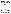### **VERIFICATION TEST DESCRIPTION**

Rapid toxicity technologies use bacteria, enzymes, or small crustaceans that produce light or use oxygen at a steady rate in the absence of toxic contaminants. Toxic contaminants in drinking water are indicated by a change in the color or intensity of light or by a change in the rate of oxygen use. As part of this verification test, which took place between July 14 and August 22, 2003, various contaminants were added to separate drinking water samples and analyzed by Eclox. Response to interfering compounds in clean drinking water also was evaluated. Dechlorinated drinking water samples from Columbus, Ohio, (DDW) were fortified with contaminants at concentrations ranging from lethal levels to concentrations several orders of magnitude less than the lethal dose and analyzed. Endpoint and precision, toxicity threshold for each contaminant, false positive/negative responses, ease of use, and sample throughput were evaluated.

Inhibition results (endpoints) from four replicates of each contaminant at each concentration level were evaluated to assess the ability of Eclox to detect toxicity at various concentrations of contaminants, as well as to measure the precision of the Eclox results. The response of Eclox to compounds used during the water treatment process (interfering compounds) was evaluated by analyzing separate aliquots of DDW fortified with each potential interferent at approximately one-half of the concentration limit recommended by the EPA's National Secondary Drinking Water Regulations guidance. For analysis of by-products of the chlorination process, unspiked DDW was analyzed because Columbus, Ohio, uses chlorination as its disinfectant procedure. For the analysis of by-products of the chloramination process, a separate drinking water sample from St. Petersburg, Florida, which uses chloramination as its disinfection process, was obtained. The samples were analyzed after residual chlorine was removed using the vendor-provided dechlorinating reagent. Sample throughput was measured based on the number of samples analyzed per hour. Ease of use and reliability were determined based on documented observations of the operators and the verification test coordinator.

Quality control samples included method blank samples, which consisted of American Society for Testing and Materials (ASTM) Type II deionized (DI) water; positive control samples fortified with phenol; and negative control samples, which consisted of the unspiked DDW.

QA oversight of verification testing was provided by Battelle and EPA. Battelle QA staff conducted a technical systems audit, a performance evaluation audit, and a data quality audit of 10% of the test data. EPA QA staff also performed a technical systems audit while testing was being conducted.

#### **TECHNOLOGY DESCRIPTION**

The following description of Eclox was provided by the vendor and was not subjected to verification in this test.

Eclox is a broadband chemiluminescence test that qualitatively assesses a water sample to determine whether it has been contaminated. The technique, used extensively in the medical field as an immunodiagnostic tool, is based upon the reaction of luminol and an oxidant in the presence of a catalyst enzyme—horseradish peroxidase (HRP). This reaction produces a flash of light (chemiluminescence) that is measured by a luminometer. An enhancer is added prior to the HRP so that the light output produced is of a steady measurable level. Free radical scavengers or antioxidants such as those contained in feces or urine interfere with the reaction, thus reducing the light emission. Substances such as phenols, amines, heavy metals, or compounds that interact with the enzyme also reduce the light output.

To analyze a water sample, 100 microliters (�L) of three reagents are added to 1 milliliter (mL) of the sample, and the sample cuvette is placed in the luminometer for four minutes. Results are compared with a contaminant-free reference, i.e., deionized water, which gives a high light output. Samples containing contaminants give lower light levels. Comparing the light output from sample water to that obtained from the reference indicates the contamination levels in the sample water. To determine whether a contaminant caused detectable inhibition, the inhibition exhibited by drinking water spiked with a contaminant was compared to the inhibition exhibited by the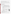unspiked drinking water. Four replicates of each spiked sample were analyzed. A result was considered positive if the inhibition of the water sample spiked with a contaminant plus or minus the standard deviation of four replicates did not include the inhibition of the unspiked drinking water.

The Eclox includes a luminometer, a  $100-\mu L$  and a  $1,000-\mu L$  pipette and pipette tips, cuvettes, reagent, a pre-conditioner, a cuvette holder, and a CD-ROM with software to download results. The luminometer stores a total of 60 measurements, and the data can be downloaded to a personal computer using the supplied software. The stored values are downloaded to a Microsoft Access database file and can be exported to a Microsoft Excel spreadsheet.

The complete Eclox kit weighs approximately 20 pounds. Overall dimensions are 20-½ inches x 17-½ inches x 8 inches. The luminometer contained in the system weighs a few pounds and is approximately 9 inches x 5 inches x 3 inches. The cost of the full Eclox kit is \$7,900.

#### **VERIFICATION OF PERFORMANCE**

**Endpoint and Precision/Toxicity Threshold:** The table below presents Eclox percent inhibition data and the range of standard deviations for the contaminants and potential interferences that were tested. The toxicity thresholds also are shown for each contaminant tested.

|                                             |                                                    | <b>Average Inhibitions at Concentrations</b><br>Lethal<br>Relative to the LD Concentration $(\% )$<br>Dose (LD) |                                                                    |                |                |                                            | <b>Range of</b><br><b>Standard</b> | <b>Toxicity</b>   |
|---------------------------------------------|----------------------------------------------------|-----------------------------------------------------------------------------------------------------------------|--------------------------------------------------------------------|----------------|----------------|--------------------------------------------|------------------------------------|-------------------|
| <b>Parameter</b>                            | Compound                                           | Conc.<br>(mg/L)                                                                                                 | LD                                                                 | LD/10          | LD/100         | LD/1,000                                   | <b>Deviations</b><br>(%)           | Thresh.<br>(mg/L) |
| Contaminants in<br><b>DDW</b>               | Aldicarb                                           | 280                                                                                                             | 35                                                                 | $\overline{4}$ | 7              | 10                                         | $2 - 10$                           | 280               |
|                                             | Colchicine                                         | 240                                                                                                             | 92                                                                 | 43             | 14             | 9                                          | $6 - 8$                            | 24                |
|                                             | Cyanide                                            | $250^{\text{(a)}}$                                                                                              | 97                                                                 | 103            | 13             | 3                                          | $1 - 9$                            | 0.25              |
|                                             | Dicrotophos                                        | 1,400                                                                                                           | 29                                                                 | $\overline{4}$ | $\overline{2}$ | $-1$                                       | $3 - 10$                           | 1,400             |
|                                             | Thallium<br>sulfate                                | 2,400                                                                                                           | 46                                                                 | 5              | $-3$           | $-3$                                       | $3 - 9$                            | 2,400             |
|                                             | <b>Botulinum</b><br>$\text{to}\, \text{sin}^{(b)}$ | 0.30                                                                                                            | $-2$                                                               | $-3$           | $-2$           | $\mathbf{1}$                               | $1 - 3$                            | ND <sup>(c)</sup> |
|                                             | Ricin <sup>(d)</sup>                               | 15                                                                                                              | 8                                                                  | $\overline{c}$ | $\overline{2}$ | $\mathbf{1}$                               | $2 - 3$                            | 15                |
|                                             | Soman                                              | $0.068^{(e)}$                                                                                                   | $\mathbf{0}$                                                       | $\overline{2}$ | $\overline{2}$ | 3                                          | $2 - 5$                            | ND                |
|                                             | <b>VX</b>                                          | 0.49                                                                                                            | 9                                                                  | $-4$           | $-5$           | $-7$                                       | $2 - 3$                            | 0.49              |
|                                             | <b>Interference</b>                                | Conc.<br>(mg/L)                                                                                                 | <b>Average Inhibitions at a</b><br><b>Single Concentration (%)</b> |                |                | <b>Standard</b><br><b>Deviation</b><br>(%) |                                    |                   |
| Potential<br>interferences in<br><b>DDW</b> | Aluminum                                           | 0.36                                                                                                            | $-2$                                                               |                |                |                                            | 7                                  |                   |
|                                             | Copper                                             | 0.65                                                                                                            | $\overline{4}$                                                     |                |                |                                            | 9                                  |                   |
|                                             | Iron                                               | 0.069                                                                                                           | $\overline{2}$                                                     |                |                |                                            | 6                                  |                   |
|                                             | Manganese                                          | 0.26                                                                                                            | 62                                                                 |                |                |                                            | 6                                  |                   |
|                                             | Zinc                                               | 3.5                                                                                                             | 10                                                                 |                |                |                                            | 4                                  |                   |

(a) Cyanide LD/10, LD/100, and LD/1,000 concentrations are 0.25, 0.05, and 0.025 mg/L.

(b) Lethal dose solution also contained 3 mg/L phosphate and 1 mg/L sodium chloride.

 $\overline{CD}$  ND = Not detectable.

(d) Lethal dose solution also contained 3 mg/L phosphate, 26 mg/L sodium chloride, and 2 mg/L sodium azide.

(e) Due to the degradation of soman in water, the stock solution confirmation analysis confirmed that the concentration of the lethal dose was 23% of the expected concentration of 0.30 mg/L.

**False Positive/Negative Responses:** Chlorinated (6% ± 5%) and chloraminated (0% ± 2%) drinking water samples were non-inhibitory with respect to ASTM DI water. This shows that there were no false positive